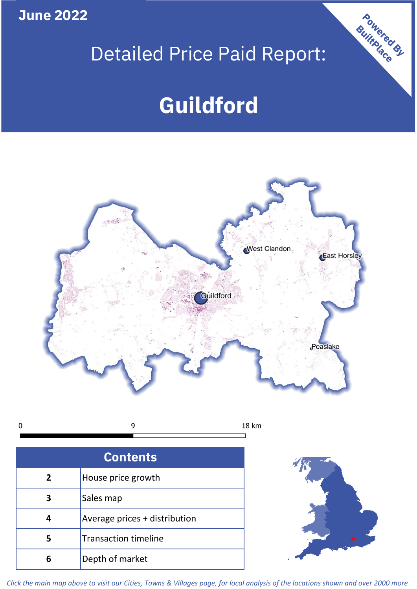**June 2022**

## Detailed Price Paid Report:

# **Guildford**



 $\mathbf 0$ 9 18 km

| <b>Contents</b> |                               |  |  |
|-----------------|-------------------------------|--|--|
| $\overline{2}$  | House price growth            |  |  |
| 3               | Sales map                     |  |  |
|                 | Average prices + distribution |  |  |
| 5               | <b>Transaction timeline</b>   |  |  |
| ĥ               | Depth of market               |  |  |



Powered By

*Click the main map above to visit our Cities, Towns & Villages page, for local analysis of the locations shown and over 2000 more*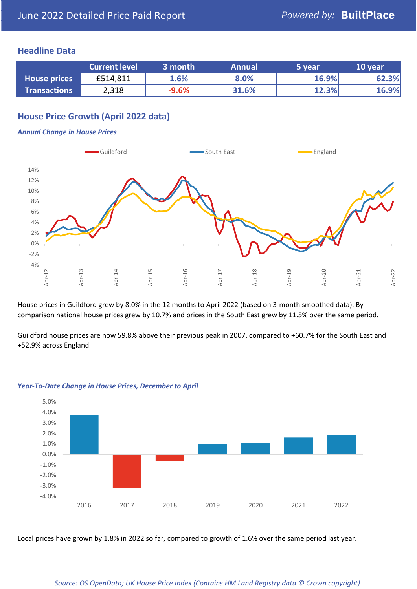#### **Headline Data**

|                     | <b>Current level</b> | 3 month | <b>Annual</b> | 5 year | 10 year |
|---------------------|----------------------|---------|---------------|--------|---------|
| <b>House prices</b> | £514,811             | 1.6%    | 8.0%          | 16.9%  | 62.3%   |
| <b>Transactions</b> | 2,318                | $-9.6%$ | 31.6%         | 12.3%  | 16.9%   |

#### **House Price Growth (April 2022 data)**

#### *Annual Change in House Prices*



House prices in Guildford grew by 8.0% in the 12 months to April 2022 (based on 3-month smoothed data). By comparison national house prices grew by 10.7% and prices in the South East grew by 11.5% over the same period.

Guildford house prices are now 59.8% above their previous peak in 2007, compared to +60.7% for the South East and +52.9% across England.



#### *Year-To-Date Change in House Prices, December to April*

Local prices have grown by 1.8% in 2022 so far, compared to growth of 1.6% over the same period last year.

#### *Source: OS OpenData; UK House Price Index (Contains HM Land Registry data © Crown copyright)*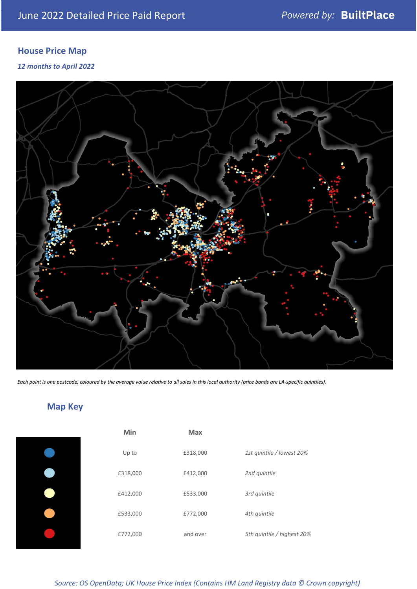### **House Price Map**

*12 months to April 2022*



*Each point is one postcode, coloured by the average value relative to all sales in this local authority (price bands are LA-specific quintiles).*

### **Map Key**

| Min      | <b>Max</b> |                            |
|----------|------------|----------------------------|
| Up to    | £318,000   | 1st quintile / lowest 20%  |
| £318,000 | £412,000   | 2nd quintile               |
| £412,000 | £533,000   | 3rd quintile               |
| £533,000 | £772,000   | 4th quintile               |
| £772,000 | and over   | 5th quintile / highest 20% |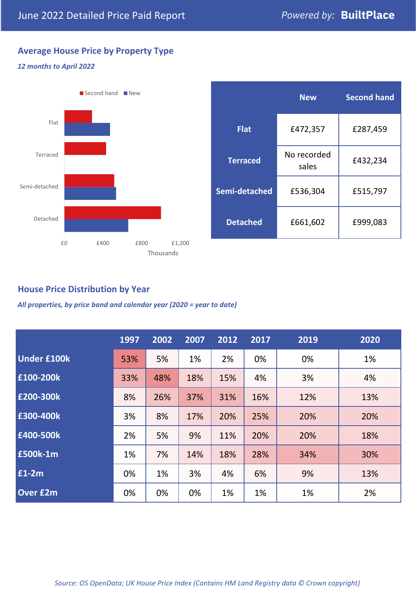#### **Average House Price by Property Type**

#### *12 months to April 2022*



|                 | <b>New</b>           | <b>Second hand</b> |  |  |
|-----------------|----------------------|--------------------|--|--|
| <b>Flat</b>     | £472,357             | £287,459           |  |  |
| <b>Terraced</b> | No recorded<br>sales | £432,234           |  |  |
| Semi-detached   | £536,304             | £515,797           |  |  |
| <b>Detached</b> | £661,602             | £999,083           |  |  |

#### **House Price Distribution by Year**

*All properties, by price band and calendar year (2020 = year to date)*

|                    | 1997 | 2002 | 2007 | 2012 | 2017 | 2019 | 2020 |
|--------------------|------|------|------|------|------|------|------|
| <b>Under £100k</b> | 53%  | 5%   | 1%   | 2%   | 0%   | 0%   | 1%   |
| £100-200k          | 33%  | 48%  | 18%  | 15%  | 4%   | 3%   | 4%   |
| E200-300k          | 8%   | 26%  | 37%  | 31%  | 16%  | 12%  | 13%  |
| £300-400k          | 3%   | 8%   | 17%  | 20%  | 25%  | 20%  | 20%  |
| £400-500k          | 2%   | 5%   | 9%   | 11%  | 20%  | 20%  | 18%  |
| £500k-1m           | 1%   | 7%   | 14%  | 18%  | 28%  | 34%  | 30%  |
| £1-2m              | 0%   | 1%   | 3%   | 4%   | 6%   | 9%   | 13%  |
| <b>Over £2m</b>    | 0%   | 0%   | 0%   | 1%   | 1%   | 1%   | 2%   |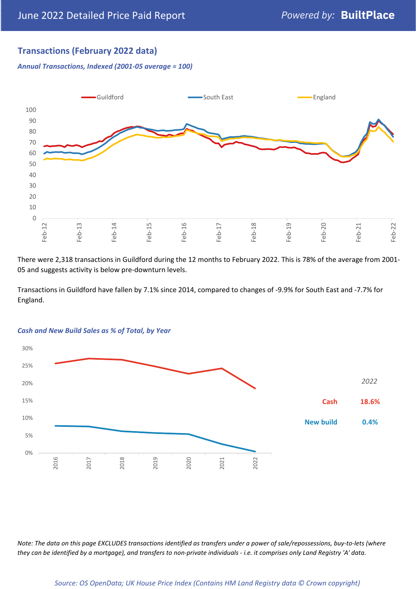#### **Transactions (February 2022 data)**

*Annual Transactions, Indexed (2001-05 average = 100)*



There were 2,318 transactions in Guildford during the 12 months to February 2022. This is 78% of the average from 2001- 05 and suggests activity is below pre-downturn levels.

Transactions in Guildford have fallen by 7.1% since 2014, compared to changes of -9.9% for South East and -7.7% for England.



#### *Cash and New Build Sales as % of Total, by Year*

*Note: The data on this page EXCLUDES transactions identified as transfers under a power of sale/repossessions, buy-to-lets (where they can be identified by a mortgage), and transfers to non-private individuals - i.e. it comprises only Land Registry 'A' data.*